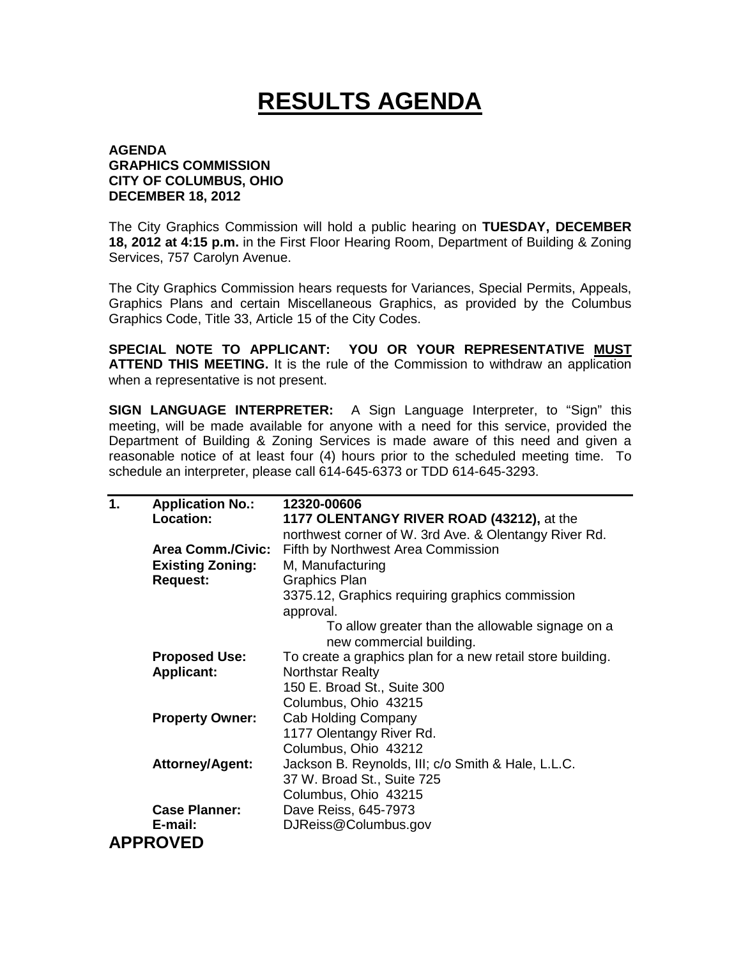## **RESULTS AGENDA**

## **AGENDA GRAPHICS COMMISSION CITY OF COLUMBUS, OHIO DECEMBER 18, 2012**

The City Graphics Commission will hold a public hearing on **TUESDAY, DECEMBER 18, 2012 at 4:15 p.m.** in the First Floor Hearing Room, Department of Building & Zoning Services, 757 Carolyn Avenue.

The City Graphics Commission hears requests for Variances, Special Permits, Appeals, Graphics Plans and certain Miscellaneous Graphics, as provided by the Columbus Graphics Code, Title 33, Article 15 of the City Codes.

**SPECIAL NOTE TO APPLICANT: YOU OR YOUR REPRESENTATIVE MUST ATTEND THIS MEETING.** It is the rule of the Commission to withdraw an application when a representative is not present.

**SIGN LANGUAGE INTERPRETER:** A Sign Language Interpreter, to "Sign" this meeting, will be made available for anyone with a need for this service, provided the Department of Building & Zoning Services is made aware of this need and given a reasonable notice of at least four (4) hours prior to the scheduled meeting time. To schedule an interpreter, please call 614-645-6373 or TDD 614-645-3293.

| 1. | <b>Application No.:</b>  | 12320-00606                                                |
|----|--------------------------|------------------------------------------------------------|
|    | Location:                | 1177 OLENTANGY RIVER ROAD (43212), at the                  |
|    |                          | northwest corner of W. 3rd Ave. & Olentangy River Rd.      |
|    | <b>Area Comm./Civic:</b> | Fifth by Northwest Area Commission                         |
|    | <b>Existing Zoning:</b>  | M, Manufacturing                                           |
|    | <b>Request:</b>          | <b>Graphics Plan</b>                                       |
|    |                          | 3375.12, Graphics requiring graphics commission            |
|    |                          | approval.                                                  |
|    |                          | To allow greater than the allowable signage on a           |
|    |                          | new commercial building.                                   |
|    | <b>Proposed Use:</b>     | To create a graphics plan for a new retail store building. |
|    | <b>Applicant:</b>        | <b>Northstar Realty</b>                                    |
|    |                          | 150 E. Broad St., Suite 300                                |
|    |                          | Columbus, Ohio 43215                                       |
|    | <b>Property Owner:</b>   | <b>Cab Holding Company</b>                                 |
|    |                          | 1177 Olentangy River Rd.                                   |
|    |                          | Columbus, Ohio 43212                                       |
|    | <b>Attorney/Agent:</b>   | Jackson B. Reynolds, III; c/o Smith & Hale, L.L.C.         |
|    |                          | 37 W. Broad St., Suite 725                                 |
|    |                          | Columbus, Ohio 43215                                       |
|    | <b>Case Planner:</b>     | Dave Reiss, 645-7973                                       |
|    | E-mail:                  | DJReiss@Columbus.gov                                       |
|    | <b>APPROVED</b>          |                                                            |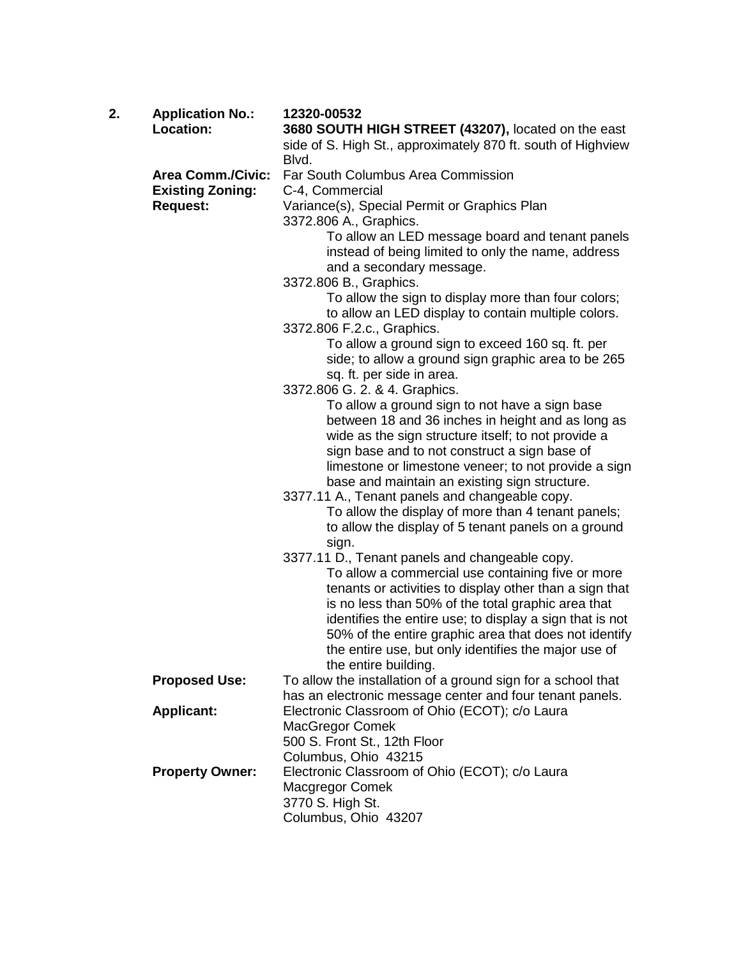| 2. | <b>Application No.:</b>  | 12320-00532                                                                                                                       |
|----|--------------------------|-----------------------------------------------------------------------------------------------------------------------------------|
|    | Location:                | 3680 SOUTH HIGH STREET (43207), located on the east                                                                               |
|    |                          | side of S. High St., approximately 870 ft. south of Highview<br>Blvd.                                                             |
|    | <b>Area Comm./Civic:</b> | Far South Columbus Area Commission                                                                                                |
|    | <b>Existing Zoning:</b>  | C-4, Commercial                                                                                                                   |
|    | <b>Request:</b>          | Variance(s), Special Permit or Graphics Plan                                                                                      |
|    |                          | 3372.806 A., Graphics.                                                                                                            |
|    |                          | To allow an LED message board and tenant panels<br>instead of being limited to only the name, address<br>and a secondary message. |
|    |                          | 3372.806 B., Graphics.                                                                                                            |
|    |                          | To allow the sign to display more than four colors;                                                                               |
|    |                          | to allow an LED display to contain multiple colors.                                                                               |
|    |                          | 3372.806 F.2.c., Graphics.                                                                                                        |
|    |                          | To allow a ground sign to exceed 160 sq. ft. per<br>side; to allow a ground sign graphic area to be 265                           |
|    |                          | sq. ft. per side in area.                                                                                                         |
|    |                          | 3372.806 G. 2. & 4. Graphics.                                                                                                     |
|    |                          | To allow a ground sign to not have a sign base                                                                                    |
|    |                          | between 18 and 36 inches in height and as long as                                                                                 |
|    |                          | wide as the sign structure itself; to not provide a                                                                               |
|    |                          | sign base and to not construct a sign base of                                                                                     |
|    |                          | limestone or limestone veneer; to not provide a sign<br>base and maintain an existing sign structure.                             |
|    |                          | 3377.11 A., Tenant panels and changeable copy.                                                                                    |
|    |                          | To allow the display of more than 4 tenant panels;                                                                                |
|    |                          | to allow the display of 5 tenant panels on a ground<br>sign.                                                                      |
|    |                          | 3377.11 D., Tenant panels and changeable copy.                                                                                    |
|    |                          | To allow a commercial use containing five or more<br>tenants or activities to display other than a sign that                      |
|    |                          | is no less than 50% of the total graphic area that                                                                                |
|    |                          | identifies the entire use; to display a sign that is not                                                                          |
|    |                          | 50% of the entire graphic area that does not identify                                                                             |
|    |                          | the entire use, but only identifies the major use of                                                                              |
|    |                          | the entire building.                                                                                                              |
|    | <b>Proposed Use:</b>     | To allow the installation of a ground sign for a school that                                                                      |
|    | <b>Applicant:</b>        | has an electronic message center and four tenant panels.<br>Electronic Classroom of Ohio (ECOT); c/o Laura                        |
|    |                          | MacGregor Comek                                                                                                                   |
|    |                          | 500 S. Front St., 12th Floor                                                                                                      |
|    |                          | Columbus, Ohio 43215                                                                                                              |
|    | <b>Property Owner:</b>   | Electronic Classroom of Ohio (ECOT); c/o Laura                                                                                    |
|    |                          | Macgregor Comek                                                                                                                   |
|    |                          | 3770 S. High St.                                                                                                                  |
|    |                          | Columbus, Ohio 43207                                                                                                              |